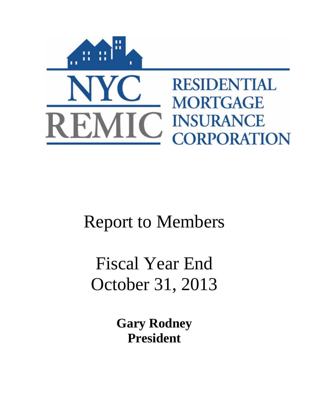

## Report to Members

# Fiscal Year End October 31, 2013

**Gary Rodney President**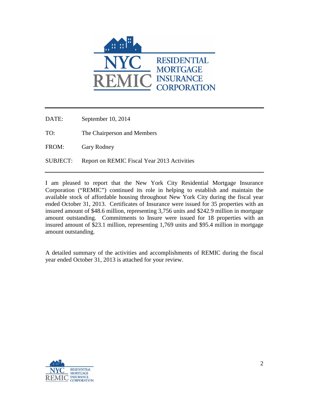

DATE: September 10, 2014

TO: The Chairperson and Members

FROM: Gary Rodney

SUBJECT: Report on REMIC Fiscal Year 2013 Activities

I am pleased to report that the New York City Residential Mortgage Insurance Corporation ("REMIC") continued its role in helping to establish and maintain the available stock of affordable housing throughout New York City during the fiscal year ended October 31, 2013. Certificates of Insurance were issued for 35 properties with an insured amount of \$48.6 million, representing 3,756 units and \$242.9 million in mortgage amount outstanding. Commitments to Insure were issued for 18 properties with an insured amount of \$23.1 million, representing 1,769 units and \$95.4 million in mortgage amount outstanding.

A detailed summary of the activities and accomplishments of REMIC during the fiscal year ended October 31, 2013 is attached for your review.

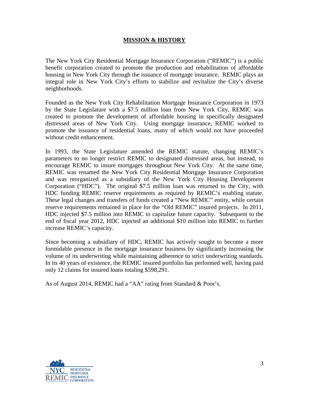## **MISSION & HISTORY**

The New York City Residential Mortgage Insurance Corporation ("REMIC") is a public benefit corporation created to promote the production and rehabilitation of affordable housing in New York City through the issuance of mortgage insurance. REMIC plays an integral role in New York City's efforts to stabilize and revitalize the City's diverse neighborhoods.

Founded as the New York City Rehabilitation Mortgage Insurance Corporation in 1973 by the State Legislature with a \$7.5 million loan from New York City, REMIC was created to promote the development of affordable housing in specifically designated distressed areas of New York City. Using mortgage insurance, REMIC worked to promote the issuance of residential loans, many of which would not have proceeded without credit enhancement.

In 1993, the State Legislature amended the REMIC statute, changing REMIC's parameters to no longer restrict REMIC to designated distressed areas, but instead, to encourage REMIC to insure mortgages throughout New York City. At the same time, REMIC was renamed the New York City Residential Mortgage Insurance Corporation and was reorganized as a subsidiary of the New York City Housing Development Corporation ("HDC"). The original \$7.5 million loan was returned to the City, with HDC funding REMIC reserve requirements as required by REMIC's enabling statute. These legal changes and transfers of funds created a "New REMIC" entity, while certain reserve requirements remained in place for the "Old REMIC" insured projects. In 2011, HDC injected \$7.5 million into REMIC to capitalize future capacity. Subsequent to the end of fiscal year 2012, HDC injected an additional \$10 million into REMIC to further increase REMIC's capacity.

Since becoming a subsidiary of HDC, REMIC has actively sought to become a more formidable presence in the mortgage insurance business by significantly increasing the volume of its underwriting while maintaining adherence to strict underwriting standards. In its 40 years of existence, the REMIC insured portfolio has performed well, having paid only 12 claims for insured loans totaling \$598,291.

As of August 2014, REMIC had a "AA" rating from Standard & Poor's.

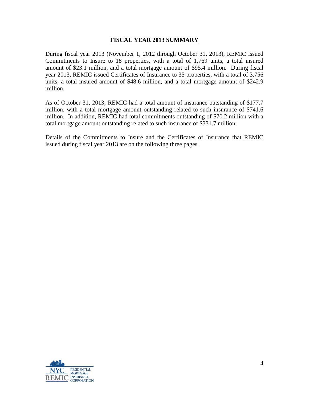#### **FISCAL YEAR 2013 SUMMARY**

During fiscal year 2013 (November 1, 2012 through October 31, 2013), REMIC issued Commitments to Insure to 18 properties, with a total of 1,769 units, a total insured amount of \$23.1 million, and a total mortgage amount of \$95.4 million. During fiscal year 2013, REMIC issued Certificates of Insurance to 35 properties, with a total of 3,756 units, a total insured amount of \$48.6 million, and a total mortgage amount of \$242.9 million.

As of October 31, 2013, REMIC had a total amount of insurance outstanding of \$177.7 million, with a total mortgage amount outstanding related to such insurance of \$741.6 million. In addition, REMIC had total commitments outstanding of \$70.2 million with a total mortgage amount outstanding related to such insurance of \$331.7 million.

Details of the Commitments to Insure and the Certificates of Insurance that REMIC issued during fiscal year 2013 are on the following three pages.

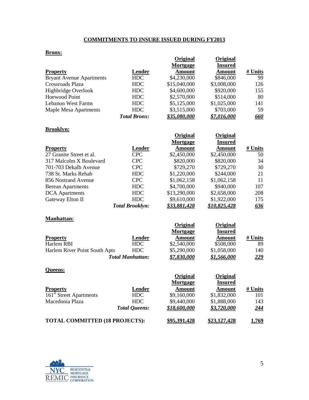## **COMMITMENTS TO INSURE ISSUED DURING FY2013**

#### **Bronx:**

|                     | Original      | Original       |            |
|---------------------|---------------|----------------|------------|
|                     | Mortgage      | <b>Insured</b> |            |
| Lender              | <b>Amount</b> | <b>Amount</b>  | # Units    |
| HDC                 | \$4,230,000   | \$846,000      | 99         |
| <b>HDC</b>          | \$15,040,000  | \$3,008,000    | 126        |
| HDC                 | \$4,600,000   | \$920,000      | 155        |
| HDC                 | \$2,570,000   | \$514,000      | 80         |
| <b>HDC</b>          | \$5,125,000   | \$1,025,000    | 141        |
| HDC.                | \$3,515,000   | \$703,000      | 59         |
| <b>Total Bronx:</b> | \$35.080.000  | \$7.016.000    | <u>660</u> |
|                     |               |                |            |

#### **Brooklyn:**

|                          |                        | Original            | Original       |            |
|--------------------------|------------------------|---------------------|----------------|------------|
|                          |                        | Mortgage            | <b>Insured</b> |            |
| <b>Property</b>          | Lender                 | <b>Amount</b>       | <b>Amount</b>  | # Units    |
| 27 Granite Street et al. | <b>CPC</b>             | \$2,450,000         | \$2,450,000    | 50         |
| 317 Malcolm X Boulevard  | <b>CPC</b>             | \$820,000           | \$820,000      | 34         |
| 701-703 Dekalb Avenue    | <b>CPC</b>             | \$729,270           | \$729,270      | 30         |
| 738 St. Marks Rehab      | <b>HDC</b>             | \$1,220,000         | \$244,000      | 21         |
| 856 Nostrand Avenue      | <b>CPC</b>             | \$1,062,158         | \$1,062,158    | 11         |
| <b>Berean Apartments</b> | HDC                    | \$4,700,000         | \$940,000      | 107        |
| <b>DCA</b> Apartments    | <b>HDC</b>             | \$13,290,000        | \$2,658,000    | 208        |
| Gateway Elton II         | <b>HDC</b>             | \$9,610,000         | \$1,922,000    | 175        |
|                          | <b>Total Brooklyn:</b> | <u>\$33,881,428</u> | \$10,825,428   | <u>636</u> |

#### **Manhattan:**

|                               |                         | Original<br>Mortgage | Original<br><b>Insured</b> |            |
|-------------------------------|-------------------------|----------------------|----------------------------|------------|
| <b>Property</b>               | Lender                  | Amount               | Amount                     | # Units    |
| Harlem RBI                    | <b>HDC</b>              | \$2,540,000          | \$508,000                  | 89         |
| Harlem River Point South Apts | HDC                     | \$5,290,000          | \$1,058,000                | 140        |
|                               | <b>Total Manhattan:</b> | <u>\$7,830,000</u>   | <u>\$1,566,000</u>         | <u>229</u> |

#### **Queens:**

|                                       |                      | Original      | Original       |              |
|---------------------------------------|----------------------|---------------|----------------|--------------|
|                                       |                      | Mortgage      | <b>Insured</b> |              |
| <b>Property</b>                       | Lender               | <b>Amount</b> | <b>Amount</b>  | # Units      |
| 161 <sup>st</sup> Street Apartments   | HDC                  | \$9,160,000   | \$1,832,000    | 101          |
| Macedonia Plaza                       | HDC                  | \$9,440,000   | \$1,888,000    | 143          |
|                                       | <b>Total Queens:</b> | \$18,600,000  | \$3.720.000    | <u>244</u>   |
| <b>TOTAL COMMITTED (18 PROJECTS):</b> |                      | \$95,391,428  | \$23,127,428   | <u>1,769</u> |

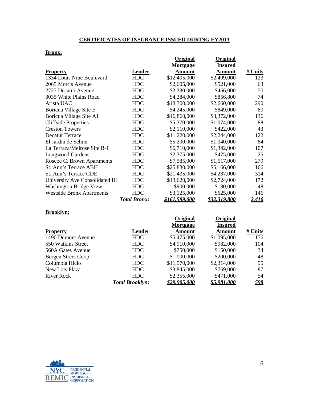## **CERTIFICATES OF INSURANCE ISSUED DURING FY2013**

#### **Bronx:**

|                                  |                     | <b>Original</b><br>Mortgage | <b>Original</b><br><b>Insured</b> |              |
|----------------------------------|---------------------|-----------------------------|-----------------------------------|--------------|
| <b>Property</b>                  | Lender              | <b>Amount</b>               | Amount                            | # Units      |
| 1334 Louis Nine Boulevard        | <b>HDC</b>          | \$12,495,000                | \$2,499,000                       | 123          |
| 2065 Morris Avenue               | <b>HDC</b>          | \$2,605,000                 | \$521,000                         | 63           |
| 2727 Decatur Avenue              | <b>HDC</b>          | \$2,330,000                 | \$466,000                         | 50           |
| 3035 White Plains Road           | <b>HDC</b>          | \$4,284,000                 | \$856,800                         | 74           |
| Arista UAC                       | <b>HDC</b>          | \$13,300,000                | \$2,660,000                       | 290          |
| Boricua Village Site E           | <b>HDC</b>          | \$4,245,000                 | \$849,000                         | 80           |
| Boricua Village Site A1          | <b>HDC</b>          | \$16,860,000                | \$3,372,000                       | 136          |
| <b>Cliffside Properties</b>      | <b>HDC</b>          | \$5,370,000                 | \$1,074,000                       | 88           |
| <b>Creston Towers</b>            | <b>HDC</b>          | \$2,110,000                 | \$422,000                         | 43           |
| Decatur Terrace                  | <b>HDC</b>          | \$11,220,000                | \$2,244,000                       | 122          |
| El Jardin de Seline              | <b>HDC</b>          | \$5,200,000                 | \$1,040,000                       | 84           |
| La Terraza/Melrose Site B-1      | <b>HDC</b>          | \$6,710,000                 | \$1,342,000                       | 107          |
| <b>Longwood Gardens</b>          | <b>HDC</b>          | \$2,375,000                 | \$475,000                         | 25           |
| Roscoe C. Brown Apartments       | <b>HDC</b>          | \$7,585,000                 | \$1,517,000                       | 279          |
| St. Ann's Terrace ABH            | <b>HDC</b>          | \$25,830,000                | \$5,166,000                       | 166          |
| St. Ann's Terrace CDE            | <b>HDC</b>          | \$21,435,000                | \$4,287,000                       | 314          |
| University Ave Consolidated III  | <b>HDC</b>          | \$13,620,000                | \$2,724,000                       | 172          |
| <b>Washington Bridge View</b>    | <b>HDC</b>          | \$900,000                   | \$180,000                         | 48           |
| <b>Westside Bronx Apartments</b> | <b>HDC</b>          | \$3,125,000                 | \$625,000                         | 146          |
|                                  | <b>Total Bronx:</b> | <u>\$161,599,000</u>        | \$32,319,800                      | <u>2,410</u> |
| <b>Brooklyn:</b>                 |                     |                             |                                   |              |
|                                  |                     | <b>Original</b>             | Original                          |              |

|                    |                        | $\mathbf{O}$ riginar | VHEMA              |            |
|--------------------|------------------------|----------------------|--------------------|------------|
|                    |                        | Mortgage             | <b>Insured</b>     |            |
| <b>Property</b>    | Lender                 | <b>Amount</b>        | <b>Amount</b>      | # Units    |
| 1490 Dumont Avenue | <b>HDC</b>             | \$5,475,000          | \$1,095,000        | 176        |
| 550 Watkins Street | HDC                    | \$4,910,000          | \$982,000          | 104        |
| 560A Gates Avenue  | HDC                    | \$750,000            | \$150,000          | 34         |
| Bergen Street Coop | HDC                    | \$1,000,000          | \$200,000          | 48         |
| Columbia Hicks     | HDC                    | \$11,570,000         | \$2,314,000        | 95         |
| New Lots Plaza     | HDC                    | \$3,845,000          | \$769,000          | 87         |
| River Rock         | HDC                    | \$2,355,000          | \$471,000          | 54         |
|                    | <b>Total Brooklyn:</b> | \$29,905.000         | <u>\$5.981.000</u> | <u>598</u> |
|                    |                        |                      |                    |            |

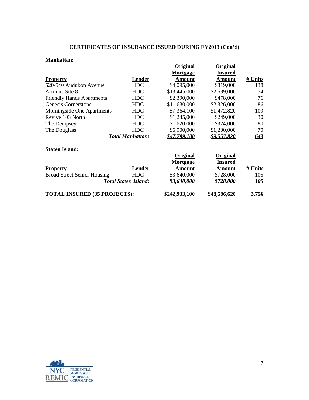## **CERTIFICATES OF INSURANCE ISSUED DURING FY2013 (Con'd)**

## **Manhattan:**

|                                     |                             | Original<br>Mortgage | Original<br><b>Insured</b> |             |
|-------------------------------------|-----------------------------|----------------------|----------------------------|-------------|
| <b>Property</b>                     | Lender                      | Amount               | Amount                     | # Units     |
| 520-540 Audubon Avenue              | <b>HDC</b>                  | \$4,095,000          | \$819,000                  | 138         |
| Artimus Site 8                      | <b>HDC</b>                  | \$13,445,000         | \$2,689,000                | 54          |
| <b>Friendly Hands Apartments</b>    | <b>HDC</b>                  | \$2,390,000          | \$478,000                  | 76          |
| Genesis Cornerstone                 | <b>HDC</b>                  | \$11,630,000         | \$2,326,000                | 86          |
| Morningside One Apartments          | <b>HDC</b>                  | \$7,364,100          | \$1,472,820                | 109         |
| Revive 103 North                    | <b>HDC</b>                  | \$1,245,000          | \$249,000                  | 30          |
| The Dempsey                         | <b>HDC</b>                  | \$1,620,000          | \$324,000                  | 80          |
| The Douglass                        | <b>HDC</b>                  | \$6,000,000          | \$1,200,000                | 70          |
|                                     | <b>Total Manhattan:</b>     | \$47,789,100         | <u>\$9,557,820</u>         | 643         |
| <b>Staten Island:</b>               |                             |                      |                            |             |
|                                     |                             | Original<br>Mortgage | Original<br>Insured        |             |
| <b>Property</b>                     | Lender                      | Amount               | Amount                     | # Units     |
| <b>Broad Street Senior Housing</b>  | <b>HDC</b>                  | \$3,640,000          | \$728,000                  | 105         |
|                                     | <b>Total Staten Island:</b> | \$3,640,000          | \$728,000                  | <u> 105</u> |
| <b>TOTAL INSURED (35 PROJECTS):</b> |                             | <u>\$242.933.100</u> | <u>\$48.586.620</u>        | 3,756       |

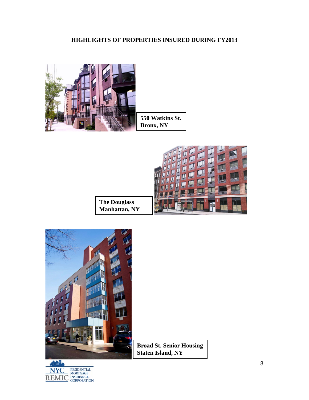## **HIGHLIGHTS OF PROPERTIES INSURED DURING FY2013**





**The Douglass Manhattan, NY**



mШ. NYC RESIDENTIAL MORTGAGE<br>REMIC INSURANCE<br>CORPORATION **Broad St. Senior Housing Staten Island, NY**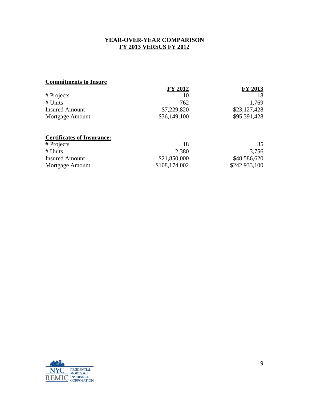## **YEAR-OVER-YEAR COMPARISON FY 2013 VERSUS FY 2012**

## **Commitments to Insure**

|                       | <b>FY 2012</b> | <b>FY 2013</b> |
|-----------------------|----------------|----------------|
| # Projects            | 10             | 18             |
| # Units               | 762            | 1,769          |
| <b>Insured Amount</b> | \$7,229,820    | \$23,127,428   |
| Mortgage Amount       | \$36,149,100   | \$95,391,428   |
|                       |                |                |

## **Certificates of Insurance:**

| # Projects            | 18            | 35            |
|-----------------------|---------------|---------------|
| # Units               | 2,380         | 3,756         |
| <b>Insured Amount</b> | \$21,850,000  | \$48,586,620  |
| Mortgage Amount       | \$108,174,002 | \$242,933,100 |

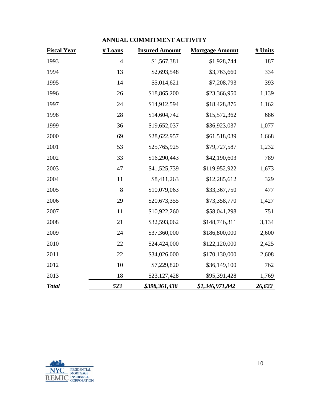## **ANNUAL COMMITMENT ACTIVITY**

| <b>Fiscal Year</b> | # Loans        | <b>Insured Amount</b> | <b>Mortgage Amount</b> | # Units |
|--------------------|----------------|-----------------------|------------------------|---------|
| 1993               | $\overline{4}$ | \$1,567,381           | \$1,928,744            | 187     |
| 1994               | 13             | \$2,693,548           | \$3,763,660            | 334     |
| 1995               | 14             | \$5,014,621           | \$7,208,793            | 393     |
| 1996               | 26             | \$18,865,200          | \$23,366,950           | 1,139   |
| 1997               | 24             | \$14,912,594          | \$18,428,876           | 1,162   |
| 1998               | 28             | \$14,604,742          | \$15,572,362           | 686     |
| 1999               | 36             | \$19,652,037          | \$36,923,037           | 1,077   |
| 2000               | 69             | \$28,622,957          | \$61,518,039           | 1,668   |
| 2001               | 53             | \$25,765,925          | \$79,727,587           | 1,232   |
| 2002               | 33             | \$16,290,443          | \$42,190,603           | 789     |
| 2003               | 47             | \$41,525,739          | \$119,952,922          | 1,673   |
| 2004               | 11             | \$8,411,263           | \$12,285,612           | 329     |
| 2005               | 8              | \$10,079,063          | \$33,367,750           | 477     |
| 2006               | 29             | \$20,673,355          | \$73,358,770           | 1,427   |
| 2007               | 11             | \$10,922,260          | \$58,041,298           | 751     |
| 2008               | 21             | \$32,593,062          | \$148,746,311          | 3,134   |
| 2009               | 24             | \$37,360,000          | \$186,800,000          | 2,600   |
| 2010               | 22             | \$24,424,000          | \$122,120,000          | 2,425   |
| 2011               | 22             | \$34,026,000          | \$170,130,000          | 2,608   |
| 2012               | 10             | \$7,229,820           | \$36,149,100           | 762     |
| 2013               | 18             | \$23,127,428          | \$95,391,428           | 1,769   |
| <b>Total</b>       | 523            | \$398,361,438         | \$1,346,971,842        | 26,622  |

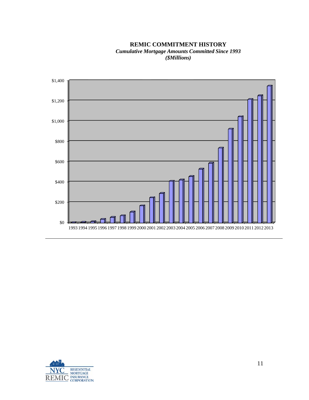#### **REMIC COMMITMENT HISTORY** *Cumulative Mortgage Amounts Committed Since 1993 (\$Millions)*



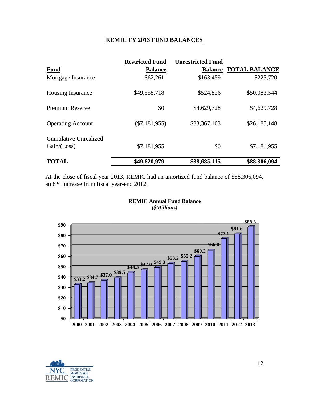## **REMIC FY 2013 FUND BALANCES**

|                                               | <b>Restricted Fund</b> | <b>Unrestricted Fund</b> |                              |
|-----------------------------------------------|------------------------|--------------------------|------------------------------|
| <b>Fund</b>                                   | <b>Balance</b>         |                          | <b>Balance TOTAL BALANCE</b> |
| Mortgage Insurance                            | \$62,261               | \$163,459                | \$225,720                    |
| <b>Housing Insurance</b>                      | \$49,558,718           | \$524,826                | \$50,083,544                 |
| Premium Reserve                               | \$0                    | \$4,629,728              | \$4,629,728                  |
| <b>Operating Account</b>                      | $(\$7,181,955)$        | \$33,367,103             | \$26,185,148                 |
| <b>Cumulative Unrealized</b><br>Gain / (Loss) | \$7,181,955            | \$0                      | \$7,181,955                  |
| <b>TOTAL</b>                                  | \$49,620,979           | \$38,685,115             | \$88,306,094                 |

At the close of fiscal year 2013, REMIC had an amortized fund balance of \$88,306,094, an 8% increase from fiscal year-end 2012.





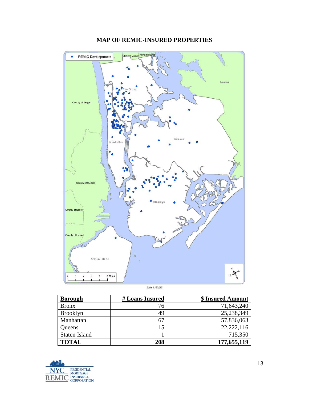

## **MAP OF REMIC-INSURED PROPERTIES**

**Borough #Loans Insured \$** Insured Amount Bronx 76 71,643,240<br>Brooklyn 49 25,238,349 Brooklyn 49 25,238,349<br>Manhattan 67 57,836,063 Manhattan 67 57,836,063 Queens 15 22,222,116<br>Staten Island 1 715,350 Staten Island 1 **TOTAL 208 177,655,119** 

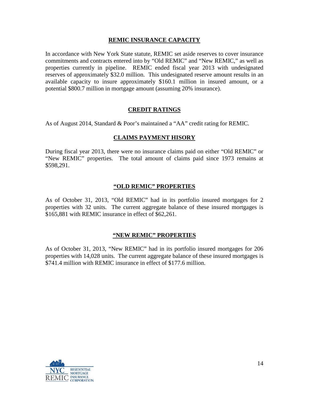## **REMIC INSURANCE CAPACITY**

In accordance with New York State statute, REMIC set aside reserves to cover insurance commitments and contracts entered into by "Old REMIC" and "New REMIC," as well as properties currently in pipeline. REMIC ended fiscal year 2013 with undesignated reserves of approximately \$32.0 million. This undesignated reserve amount results in an available capacity to insure approximately \$160.1 million in insured amount, or a potential \$800.7 million in mortgage amount (assuming 20% insurance).

## **CREDIT RATINGS**

As of August 2014, Standard & Poor's maintained a "AA" credit rating for REMIC.

## **CLAIMS PAYMENT HISORY**

During fiscal year 2013, there were no insurance claims paid on either "Old REMIC" or "New REMIC" properties. The total amount of claims paid since 1973 remains at \$598,291.

## **"OLD REMIC" PROPERTIES**

As of October 31, 2013, "Old REMIC" had in its portfolio insured mortgages for 2 properties with 32 units. The current aggregate balance of these insured mortgages is \$165,881 with REMIC insurance in effect of \$62,261.

## **"NEW REMIC" PROPERTIES**

As of October 31, 2013, "New REMIC" had in its portfolio insured mortgages for 206 properties with 14,028 units. The current aggregate balance of these insured mortgages is \$741.4 million with REMIC insurance in effect of \$177.6 million.

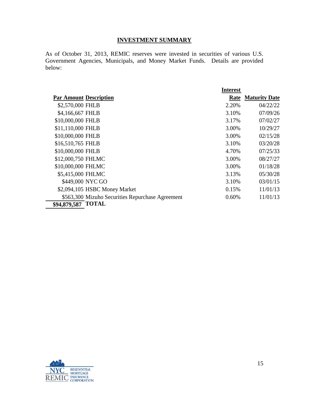## **INVESTMENT SUMMARY**

As of October 31, 2013, REMIC reserves were invested in securities of various U.S. Government Agencies, Municipals, and Money Market Funds. Details are provided below:

|                                                  | <b>Interest</b> |                           |
|--------------------------------------------------|-----------------|---------------------------|
| <b>Par Amount Description</b>                    |                 | <b>Rate Maturity Date</b> |
| \$2,570,000 FHLB                                 | 2.20%           | 04/22/22                  |
| \$4,166,667 FHLB                                 | 3.10%           | 07/09/26                  |
| \$10,000,000 FHLB                                | 3.17%           | 07/02/27                  |
| \$11,110,000 FHLB                                | 3.00%           | 10/29/27                  |
| \$10,000,000 FHLB                                | 3.00%           | 02/15/28                  |
| \$16,510,765 FHLB                                | 3.10%           | 03/20/28                  |
| \$10,000,000 FHLB                                | 4.70%           | 07/25/33                  |
| \$12,000,750 FHLMC                               | 3.00%           | 08/27/27                  |
| \$10,000,000 FHLMC                               | 3.00%           | 01/18/28                  |
| \$5,415,000 FHLMC                                | 3.13%           | 05/30/28                  |
| \$449,000 NYC GO                                 | 3.10%           | 03/01/15                  |
| \$2,094,105 HSBC Money Market                    | 0.15%           | 11/01/13                  |
| \$563,300 Mizuho Securities Repurchase Agreement | 0.60%           | 11/01/13                  |
| \$94,879,587 TOTAL                               |                 |                           |

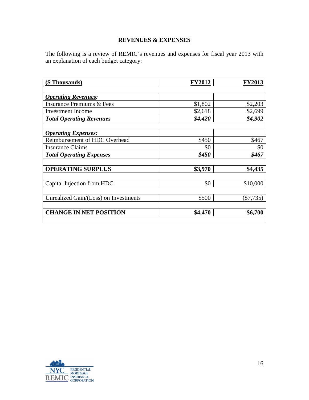## **REVENUES & EXPENSES**

The following is a review of REMIC's revenues and expenses for fiscal year 2013 with an explanation of each budget category:

| (\$ Thousands)                        | <b>FY2012</b> | <b>FY2013</b> |
|---------------------------------------|---------------|---------------|
|                                       |               |               |
| <b>Operating Revenues:</b>            |               |               |
| <b>Insurance Premiums &amp; Fees</b>  | \$1,802       | \$2,203       |
| <b>Investment</b> Income              | \$2,618       | \$2,699       |
| <b>Total Operating Revenues</b>       | \$4,420       | \$4,902       |
|                                       |               |               |
| <b>Operating Expenses:</b>            |               |               |
| Reimbursement of HDC Overhead         | \$450         | \$467         |
| <b>Insurance Claims</b>               | \$0           | \$0           |
| <b>Total Operating Expenses</b>       | \$450         | \$467         |
|                                       |               |               |
| <b>OPERATING SURPLUS</b>              | \$3,970       | \$4,435       |
|                                       |               |               |
| Capital Injection from HDC            | \$0           | \$10,000      |
|                                       |               |               |
| Unrealized Gain/(Loss) on Investments | \$500         | $(\$7,735)$   |
|                                       |               |               |
| <b>CHANGE IN NET POSITION</b>         | \$4,470       | \$6,700       |
|                                       |               |               |